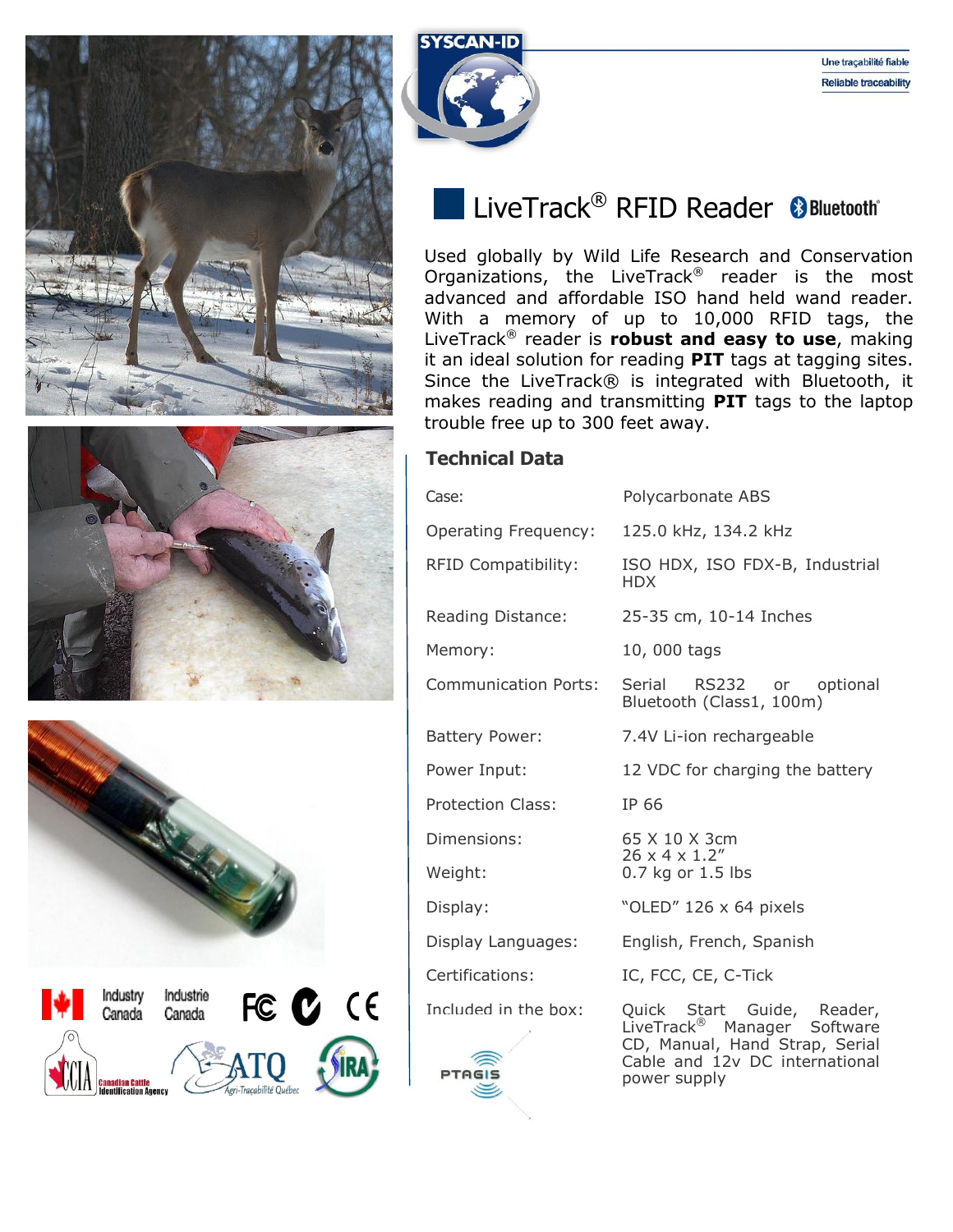



## LiveTrack<sup>®</sup> RFID Reader & Bluetooth\*

Used globally by Wild Life Research and Conservation Organizations, the LiveTrack® reader is the most advanced and affordable ISO hand held wand reader. With a memory of up to 10,000 RFID tags, the LiveTrack® reader is **robust and easy to use**, making it an ideal solution for reading **PIT** tags at tagging sites. Since the LiveTrack® is integrated with Bluetooth, it makes reading and transmitting **PIT** tags to the laptop trouble free up to 300 feet away.



| Case:                       | Polycarbonate ABS                                                                                                                         |  |  |  |  |
|-----------------------------|-------------------------------------------------------------------------------------------------------------------------------------------|--|--|--|--|
| Operating Frequency:        | 125.0 kHz, 134.2 kHz                                                                                                                      |  |  |  |  |
| RFID Compatibility:         | ISO HDX, ISO FDX-B, Industrial<br>HDX.                                                                                                    |  |  |  |  |
| Reading Distance:           | 25-35 cm, 10-14 Inches                                                                                                                    |  |  |  |  |
| Memory:                     | 10,000 tags                                                                                                                               |  |  |  |  |
| <b>Communication Ports:</b> | Serial<br>RS232 or optional<br>Bluetooth (Class1, 100m)                                                                                   |  |  |  |  |
| <b>Battery Power:</b>       | 7.4V Li-ion rechargeable                                                                                                                  |  |  |  |  |
| Power Input:                | 12 VDC for charging the battery                                                                                                           |  |  |  |  |
| <b>Protection Class:</b>    | IP 66                                                                                                                                     |  |  |  |  |
| Dimensions:                 | 65 X 10 X 3cm                                                                                                                             |  |  |  |  |
| Weight:                     | $26 \times 4 \times 1.2$ "<br>0.7 kg or 1.5 lbs                                                                                           |  |  |  |  |
| Display:                    | "OLED" 126 x 64 pixels                                                                                                                    |  |  |  |  |
| Display Languages:          | English, French, Spanish                                                                                                                  |  |  |  |  |
| Certifications:             | IC, FCC, CE, C-Tick                                                                                                                       |  |  |  |  |
| Included in the box:        | Quick Start Guide, Reader,<br>LiveTrack <sup>®</sup> Manager Software<br>CD, Manual, Hand Strap, Serial<br>Cable and 12v DC international |  |  |  |  |

power supply